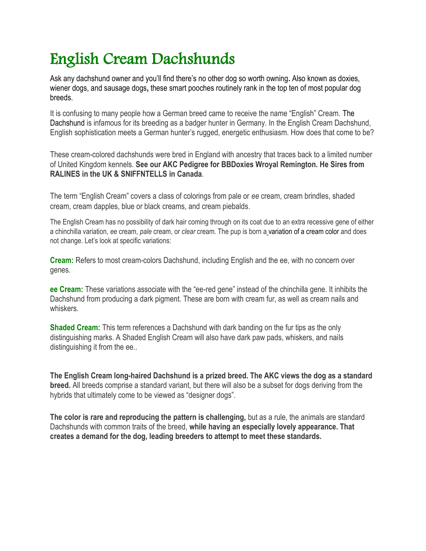## English Cream Dachshunds

Ask any dachshund owner and you'll find there's no other dog so worth owning**.** Also known as doxies, wiener dogs, and sausage dogs**,** these smart pooches routinely rank in the top ten of most popular dog breeds.

It is confusing to many people how a German breed came to receive the name "English" Cream. [The](https://www.dachworld.com/dachshund-profile/)  [Dachshund](https://www.dachworld.com/dachshund-profile/) is infamous for its breeding as a badger hunter in Germany. In the English Cream Dachshund, English sophistication meets a German hunter's rugged, energetic enthusiasm. How does that come to be?

These cream-colored dachshunds were bred in England with ancestry that traces back to a limited number of United Kingdom kennels. **See our AKC Pedigree for BBDoxies Wroyal Remington. He Sires from RALINES in the UK & SNIFFNTELLS in Canada**.

The term "English Cream" covers a class of colorings from pale or *ee* cream, cream brindles, shaded cream, cream dapples, blue or black creams, and cream piebalds.

The English Cream has no possibility of dark hair coming through on its coat due to an extra recessive gene of either a chinchilla variation, *ee* cream, *pale* cream, or *clear* cream. The pup is born a [variation of a cream color](https://www.dachworld.com/dachshund-colors/) and does not change. Let's look at specific variations:

**Cream:** Refers to most cream-colors Dachshund, including English and the ee, with no concern over genes.

**ee Cream:** These variations associate with the "ee-red gene" instead of the chinchilla gene. It inhibits the Dachshund from producing a dark pigment. These are born with cream fur, as well as cream nails and whiskers.

**Shaded Cream:** This term references a Dachshund with dark banding on the fur tips as the only distinguishing marks. A Shaded English Cream will also have dark paw pads, whiskers, and nails distinguishing it from the ee..

**The English Cream long-haired Dachshund is a prized breed. The AKC views the dog as a standard breed.** All breeds comprise a standard variant, but there will also be a subset for dogs deriving from the hybrids that ultimately come to be viewed as "designer dogs".

**The color is rare and reproducing the pattern is challenging,** but as a rule, the animals are standard Dachshunds with common traits of the breed, **while having an especially lovely appearance. That creates a demand for the dog, leading breeders to attempt to meet these standards.**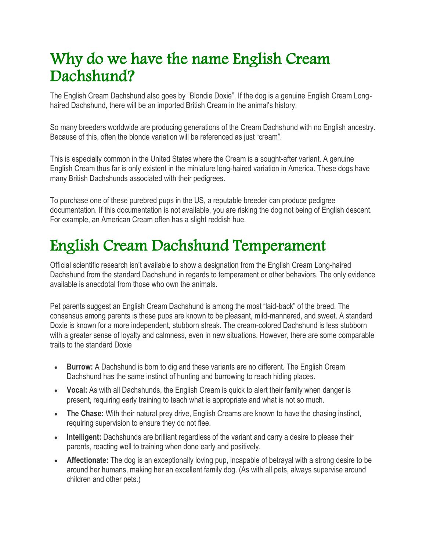#### Why do we have the name English Cream Dachshund?

The English Cream Dachshund also goes by "Blondie Doxie". If the dog is a genuine English Cream Longhaired Dachshund, there will be an imported British Cream in the animal's history.

So many breeders worldwide are producing generations of the Cream Dachshund with no English ancestry. Because of this, often the blonde variation will be referenced as just "cream".

This is especially common in the United States where the Cream is a sought-after variant. A genuine English Cream thus far is only existent in the miniature long-haired variation in America. These dogs have many British Dachshunds associated with their pedigrees.

To purchase one of these purebred pups in the US, a reputable breeder can produce pedigree documentation. If this documentation is not available, you are risking the dog not being of English descent. For example, an American Cream often has a slight reddish hue.

## English Cream Dachshund Temperament

Official scientific research isn't available to show a designation from the English Cream Long-haired Dachshund from the standard Dachshund in regards to temperament or other behaviors. The only evidence available is anecdotal from those who own the animals.

Pet parents suggest an English Cream Dachshund is among the most "laid-back" of the breed. The consensus among parents is these pups are known to be pleasant, mild-mannered, and sweet. A standard Doxie is known for a more independent, stubborn streak. The cream-colored Dachshund is less stubborn with a greater sense of loyalty and calmness, even in new situations. However, there are some comparable traits to the standard Doxie

- **Burrow:** A Dachshund is born to dig and these variants are no different. The English Cream Dachshund has the same instinct of hunting and burrowing to reach hiding places.
- **Vocal:** As with all Dachshunds, the English Cream is quick to alert their family when danger is present, requiring early training to teach what is appropriate and what is not so much.
- **The Chase:** With their natural prey drive, English Creams are known to have the chasing instinct, requiring supervision to ensure they do not flee.
- **Intelligent:** Dachshunds are brilliant regardless of the variant and carry a desire to please their parents, reacting well to training when done early and positively.
- **Affectionate:** The dog is an exceptionally loving pup, incapable of betrayal with a strong desire to be around her humans, making her an excellent family dog. (As with all pets, always supervise around children and other pets.)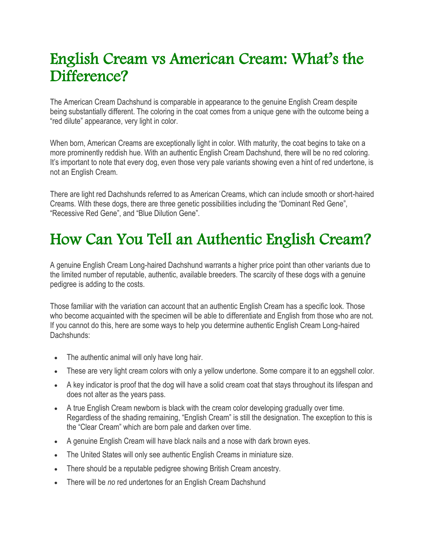#### English Cream vs American Cream: What's the Difference?

The American Cream Dachshund is comparable in appearance to the genuine English Cream despite being substantially different. The coloring in the coat comes from a unique gene with the outcome being a "red dilute" appearance, very light in color.

When born, American Creams are exceptionally light in color. With maturity, the coat begins to take on a more prominently reddish hue. With an authentic English Cream Dachshund, there will be no red coloring. It's important to note that every dog, even those very pale variants showing even a hint of red undertone, is not an English Cream.

There are light red Dachshunds referred to as American Creams, which can include smooth or short-haired Creams. With these dogs, there are three genetic possibilities including the "Dominant Red Gene", "Recessive Red Gene", and "Blue Dilution Gene".

## How Can You Tell an Authentic English Cream?

A genuine English Cream Long-haired Dachshund warrants a higher price point than other variants due to the limited number of reputable, authentic, available breeders. The scarcity of these dogs with a genuine pedigree is adding to the costs.

Those familiar with the variation can account that an authentic English Cream has a specific look. Those who become acquainted with the specimen will be able to differentiate and English from those who are not. If you cannot do this, here are some ways to help you determine authentic English Cream Long-haired Dachshunds:

- The authentic animal will only have long hair.
- These are very light cream colors with only a yellow undertone. Some compare it to an eggshell color.
- A key indicator is proof that the dog will have a solid cream coat that stays throughout its lifespan and does not alter as the years pass.
- A true English Cream newborn is black with the cream color developing gradually over time. Regardless of the shading remaining, "English Cream" is still the designation. The exception to this is the "Clear Cream" which are born pale and darken over time.
- A genuine English Cream will have black nails and a nose with dark brown eyes.
- The United States will only see authentic English Creams in miniature size.
- There should be a reputable pedigree showing British Cream ancestry.
- There will be *no* red undertones for an English Cream Dachshund